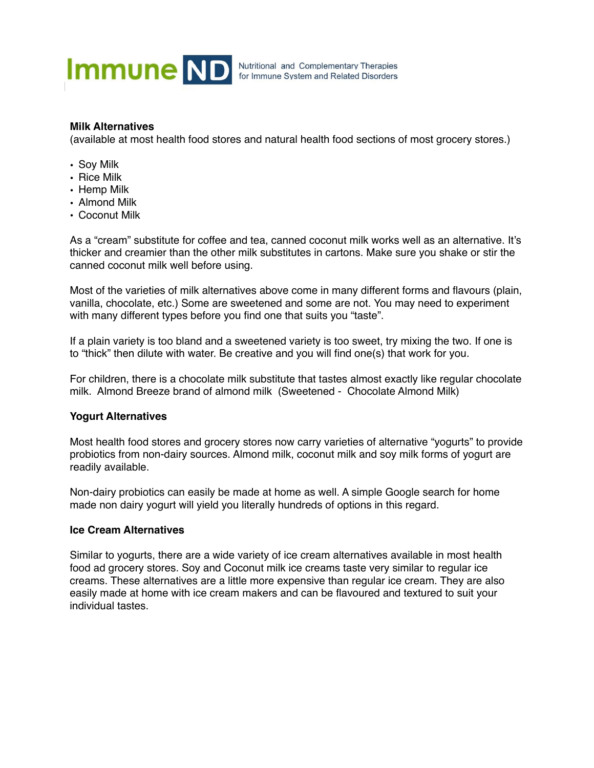

## **Milk Alternatives**

(available at most health food stores and natural health food sections of most grocery stores.)

- Soy Milk
- Rice Milk
- Hemp Milk
- Almond Milk
- Coconut Milk

As a "cream" substitute for coffee and tea, canned coconut milk works well as an alternative. It's thicker and creamier than the other milk substitutes in cartons. Make sure you shake or stir the canned coconut milk well before using.

Most of the varieties of milk alternatives above come in many different forms and flavours (plain, vanilla, chocolate, etc.) Some are sweetened and some are not. You may need to experiment with many different types before you find one that suits you "taste".

If a plain variety is too bland and a sweetened variety is too sweet, try mixing the two. If one is to "thick" then dilute with water. Be creative and you will find one(s) that work for you.

For children, there is a chocolate milk substitute that tastes almost exactly like regular chocolate milk. Almond Breeze brand of almond milk (Sweetened - Chocolate Almond Milk)

## **Yogurt Alternatives**

Most health food stores and grocery stores now carry varieties of alternative "yogurts" to provide probiotics from non-dairy sources. Almond milk, coconut milk and soy milk forms of yogurt are readily available.

Non-dairy probiotics can easily be made at home as well. A simple Google search for home made non dairy yogurt will yield you literally hundreds of options in this regard.

## **Ice Cream Alternatives**

Similar to yogurts, there are a wide variety of ice cream alternatives available in most health food ad grocery stores. Soy and Coconut milk ice creams taste very similar to regular ice creams. These alternatives are a little more expensive than regular ice cream. They are also easily made at home with ice cream makers and can be flavoured and textured to suit your individual tastes.